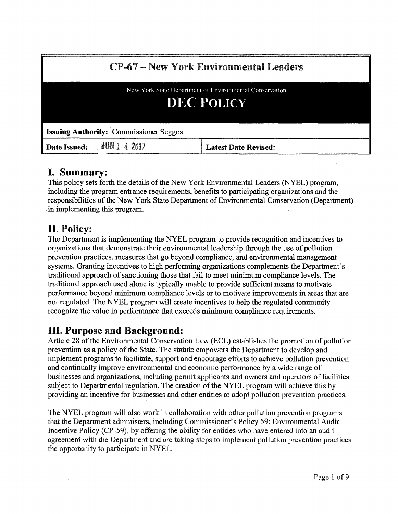| <b>CP-67 – New York Environmental Leaders</b><br>New York State Department of Environmental Conservation<br><b>DEC POLICY</b> |                             |
|-------------------------------------------------------------------------------------------------------------------------------|-----------------------------|
|                                                                                                                               |                             |
| <b>Date Issued: JUN</b> 1 4 2017                                                                                              | <b>Latest Date Revised:</b> |

## I. Summary:

This policy sets forth the details of the New York Environmental Leaders (NYEL) program, including the program entrance requirements, benefits to participating organizations and the responsibilities of the New York State Department of Environmental Conservation (Department) . in implementing this program.

# II. Policy:

The Department is implementing the NYEL program to provide recognition and incentives to organizations that demonstrate their environmental leadership through the use of pollution prevention practices, measures that go beyond compliance, and environmental management systems. Granting incentives to high performing organizations complements the Department's traditional approach of sanctioning those that fail to meet minimum compliance levels. The traditional approach used alone is typically unable to provide sufficient means to motivate performance beyond minimum compliance levels or to motivate improvements in areas that are not regulated. The NYEL program will create incentives to help the regulated community recognize the value in performance that exceeds minimum compliance requirements.

# III. Purpose and Background:

Article 28 of the Environmental Conservation Law (ECL) establishes the promotion of pollution prevention as a policy of the State. The statute empowers the Department to develop and implement programs to facilitate, support and encourage efforts to achieve pollution prevention and continually improve environmental and economic performance by a wide range of businesses and organizations, including permit applicants and owners and operators of facilities subject to Departmental regulation. The creation of the NYEL program will achieve this by providing an incentive for businesses and other entities to adopt pollution prevention practices.

The NYEL program will also work in collaboration with other pollution prevention programs that the Department administers, including Commissioner's Policy 59: Environmental Audit Incentive Policy (CP-59), by offering the ability for entities who have entered into an audit agreement with the Department and are taking steps to implement pollution prevention practices the opportunity to participate in NYEL.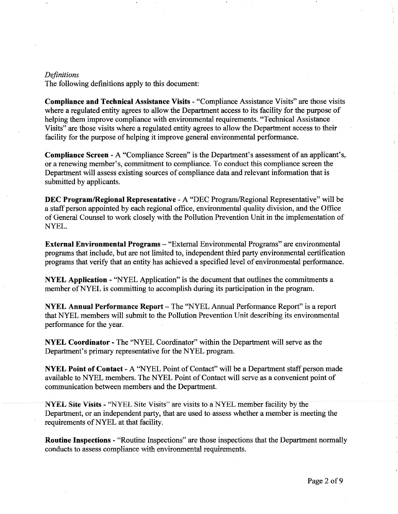#### *Definitions*

The following definitions apply to this document:

Compliance and Technical Assistance Visits - "Compliance Assistance Visits" are those visits where a regulated entity agrees to allow the Department access to its facility for the purpose of helping them improve compliance with environmental requirements. "Technical Assistance Visits" are those visits where a regulated entity agrees to allow the Department access to their facility for the purpose of helping it improve general environmental performance.

Compliance Screen - A "Compliance Screen" is the Department's assessment of an applicant's, or a renewing member's, commitment to compliance. To conduct this compliance screen the Department will assess existing sources of compliance data and relevant information that is submitted by applicants.

DEC Program/Regional Representative - A "DEC Program/Regional Representative" will be a staff person appointed by each regional office, environmental quality division, and the Office of General Counsel to work closely with the Pollution Prevention Unit in the implementation of NYEL.

External Environmental Programs - "External Environmental Programs" are environmental programs that include, but are not limited to, independent third party environmental certification programs that verify that an entity has achieved a specified level of environmental performance.

NYEL Application - "NYEL Application" is the document that outlines the commitments a member of NYEL is committing to accomplish during its participation in the program.

NYEL Annual Performance Report – The "NYEL Annual Performance Report" is a report that NYEL members will submit to the Pollution Prevention Unit describing its environmental performance for the year.

NYEL Coordinator - The "NYEL Coordinator" within the Department will serve as the Department's primary representative for the NYEL program.

NYEL Point of Contact - A "NYEL Point of Contact" will be a Department staff person made available to NYEL members. The NYEL Point of Contact will serve as a convenient point of communication between members and the Department.

NYEL Site Visits - "NYEL Site Visits" are visits to a NYEL member facility by the Department, or an independent party, that are used to assess whether a member is meeting the requirements of NYEL at that facility.

Routine Inspections - "Routine Inspections" are those inspections that the Department normally conducts to assess compliance with environmental requirements.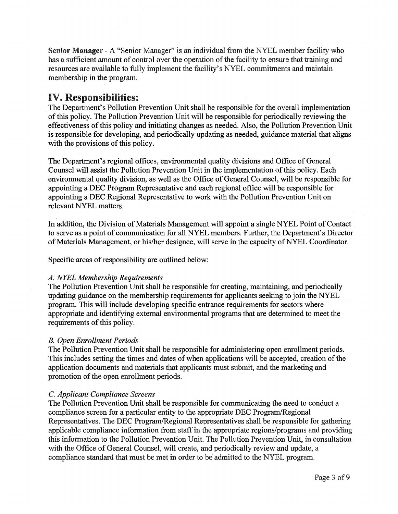Senior Manager - A "Senior Manager" is an individual from the NYEL member facility who has a sufficient amount of control over the operation of the facility to ensure that training and resources are available to fully implement the facility's NYEL commitments and maintain membership in the program.

## IV. Responsibilities:

The Department's Pollution Prevention Unit shall be responsible for the overall implementation of this policy. The Pollution Prevention Unit will be responsible for periodically reviewing the effectiveness of this policy and initiating changes as needed. Also, the Pollution Prevention Unit is responsible for developing, and periodically updating as needed, guidance material that aligns with the provisions of this policy.

The Department's regional offices, environmental quality divisions and Office of General Counsel will assist the Pollution Prevention Unit in the implementation of this policy. Each environmental quality division, as well as the Office of General Counsel, will be responsible for appointing a DEC Program Representative and each regional office will be responsible for appointing a DEC Regional Representative to work with the Pollution Prevention Unit on relevant NYEL matters.

In addition, the Division of Materials Management will appoint a single NYEL Point of Contact to serve as a point of communication for all NYEL members. Further, the Department's Director of Materials Management, or his/her designee, will serve in the capacity of NYEL Coordinator.

Specific areas of responsibility are outlined below:

### *A. NYEL Membership Requirements*

The Pollution Prevention Unit shall be responsible for creating, maintaining, and periodically updating guidance on the membership requirements for applicants seeking to join the NYEL program. This will include developing specific entrance requirements for sectors where appropriate and identifying external environmental programs that are determined to meet the requirements of this policy.

## *B. Open Enrollment Periods*

The Pollution Prevention Unit shall be responsible for administering open enrollment periods. This includes setting the times and dates of when applications will be accepted, creation of the application documents and materials that applicants must submit, and the marketing and promotion of the open enrollment periods.

## *C. Applicant Compliance Screens*

The Pollution Prevention Unit shall be responsible for communicating the need to conduct a compliance screen for a particular entity to the appropriate DEC Program/Regional Representatives. The DEC Program/Regional Representatives shall be responsible for gathering applicable compliance information from staff in the appropriate regions/programs and providing this information to the Pollution Prevention Unit. The Pollution Prevention Unit, in consultation with the Office of General Counsel, will create, and periodically review and update, a compliance standard that must be met in order to be admitted to the NYEL program.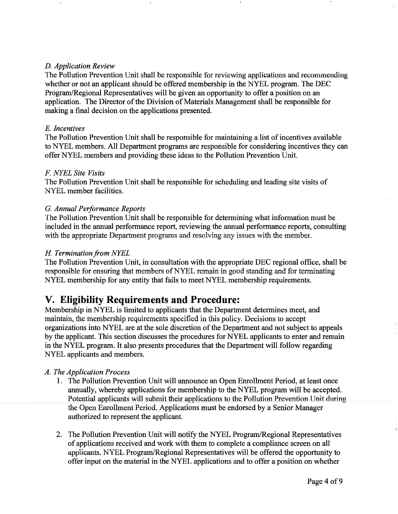#### *D. Application Review*

The Pollution Prevention Unit shall be responsible for reviewing applications and recommending whether or not an applicant should be offered membership in the NYEL program. The DEC Program/Regional Representatives will be given an opportunity to offer a position on an application. The Director of the Division of Materials Management shall be responsible for making a final decision on the applications presented.

#### E. *Incentives*

The Pollution Prevention Unit shall be responsible for maintaining a list of incentives available to NYEL members. All Department programs are responsible for considering incentives they can offer NYEL members and providing these ideas to the Pollution Prevention Unit.

#### *F NYEL Site Visits*

The Pollution Prevention Unit shall be responsible for scheduling and leading site visits of NYEL member facilities.

#### G. *Annual Performance Reports*

Tbe Pollution Prevention Unit shall be responsible for determining what information must be included in the annual performance report, reviewing the annual performance reports, consulting with the appropriate Department programs and resolving any issues with the member.

#### *H Termination from NYEL*

The Pollution Prevention Unit, in consultation with the appropriate DEC regional office, shall be responsible for ensuring that members of NYEL remain in good standing and for terminating NYEL membership for any entity that fails to meet NYEL membership requirements.

## **V. Eligibility Requirements and Procedure:**

Membership in NYEL is limited to applicants that the Department determines meet, and maintain, the membership requirements specified in this policy. Decisions to accept organizations into NYEL are at the sole discretion of the Department and not subject to appeals by the applicant. This section discusses the procedures for NYEL applicants to enter and remain in the NYEL program. It also presents procedures that the Department will follow regarding NYEL applicants and members.

#### *A. The Application Process*

- 1. The Pollution Prevention Unit will announce an Open Enrollment Period, at least once annually, whereby applications for membership to the NYEL program will be accepted. Potential applicants will submit their applications to the Pollution Prevention Unit during the Open Enrollment Period. Applications must be endorsed by a Senior Manager authorized to represent the applicant.
- 2. The Pollution Prevention Unit will notify the NYEL Program/Regional Representatives of applications received and work with them to complete a compliance screen on all applicants. NYEL Program/Regionai Representatives wiii be offered the opportunity to offer input on the material in the NYEL applications and to offer a position on whether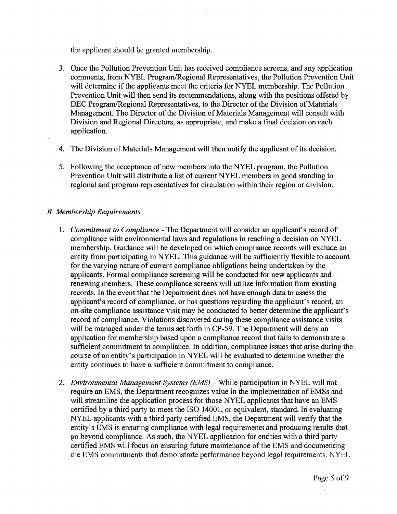the applicant should be granted membership.

- 3. Once the Pollution Prevention Unit has received compliance screens, and any application comments, from NYEL Program/Regional Representatives, the Pollution Prevention Unit will determine if the applicants meet the criteria for NYEL membership. The Pollution Prevention Unit will then send its recommendations, along with the positions offered by DEC Program/Regional Representatives, to the Director of the Division of Materials Management. The Director of the Division of Materials Management will consult with Division and Regional Directors, as appropriate, and make a final decision on each application.
- 4. The Division of Materials Management will then notify the applicant of its decision.
- 5. Following the acceptance of new members into the NYEL program, the Pollution Prevention Unit will distribute a list of current NYEL members in good standing to regional and program representatives for circulation within their region or division.

#### *B. Membership Requirements*

- 1. *Commitment to Compliance*  The Department will consider an applicant's record of compliance with environmental laws and regulations in reaching a decision on NYEL membership. Guidance will be developed on which compliance records will exclude an entity from participating in NYEL. This guidance will be sufficiently flexible to account for the varying nature of current compliance obligations being undertaken by the applicants. Formal compliance screening will be conducted for new applicants and renewing members. These compliance screens will utilize information from existing records. In the event that the Department does not have enough data to assess the applicant's record of compliance, or has questions regarding the applicant's record, an on-site compliance assistance visit may be conducted to better determine the applicant's record of compliance. Violations discovered during these compliance assistance visits will be managed under the terms set forth in CP-59. The Department will deny an application for membership based upon a compliance record that fails to demonstrate a sufficient commitment to compliance. In addition, compliance issues that arise during the course of an entity's participation in NYEL will be evaluated to determine whether the entity continues to have a sufficient commitment to compliance.
- 2. *Environmental Management Systems (EMS)*  While participation in NYEL will not require an EMS, the Department recognizes value in the implementation of EMSs and will streamline the application process for those NYEL applicants that have an EMS certified by a third party to meet the ISO 14001, or equivalent, standard. In evaluating NYEL applicants with a third party certified EMS, the Department will verify that the entity's EMS is ensuring compliance with legal requirements and producing results that go beyond compliance. As such, the NYEL application for entities with a third party certified EMS will focus on ensuring future maintenance of the EMS and documenting the EMS commitments that demonstrate performance beyond legal requirements. NYEL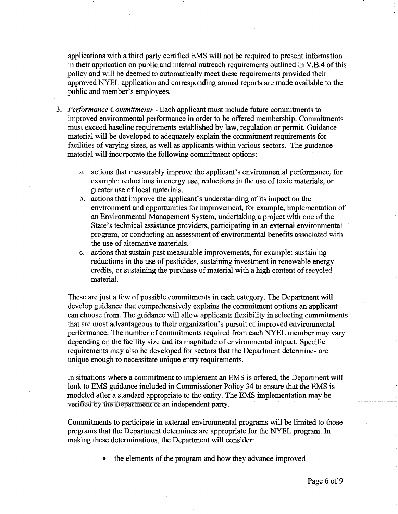applications with a third party certified EMS will not be required to present information in their application on public and internal outreach requirements outlined in V.B.4 of this policy and will be deemed to automatically meet these requirements provided their approved NYEL application and corresponding annual reports are made available to the public and member's employees.

- 3. *Performance Commitments*  Each applicant must include future commitments to improved environmental performance in order to be offered membership. Commitments must exceed baseline requirements established by law, regulation or permit. Guidance material will be developed to adequately explain the commitment requirements for facilities of varying sizes, as well as applicants within various sectors. The guidance material will incorporate the following commitment options:
	- a. actions that measurably improve the applicant's environmental performance, for example: reductions in energy use, reductions in the use of toxic materials, or greater use of iocai materials.
	- b. actions that improve the applicant's understanding of its impact on the environment and opportunities for improvement, for example, implementation of an Environmental Management System, undertaking a project with one of the State's technical assistance providers, participating in an external environmental program, or conducting an assessment of environmental benefits associated with the use of alternative materials.
	- c. actions that sustain past measurable improvements, for example: sustaining reductions in the use of pesticides, sustaining investment in renewable energy credits, or sustaining the purchase of material with a high content of recycled material.

These are just a few of possible commitments in each category. The Department will develop guidance that comprehensively explains the commitment options an applicant can choose from. The guidance will allow applicants flexibility in selecting commitments that are most advantageous to their organization's pursuit of improved environmental performance. The number of commitments required from each NYEL member may vary depending on the facility size and its magnitude of environmental impact. Specific requirements may also be developed for sectors that the Department determines are unique enough to necessitate unique entry requirements.

In situations where a commitment to implement an EMS is offered, the Department will look to EMS guidance included in Commissioner Policy 34 to ensure that the EMS is modeled after a standard appropriate to the entity. The EMS implementation may be verified by the Depariment or an independent party.

Commitments to participate in external environmental programs will be limited to those programs that the Department determines are appropriate for the NYEL program. In making these determinations, the Department will consider:

• the elements of the program and how they advance improved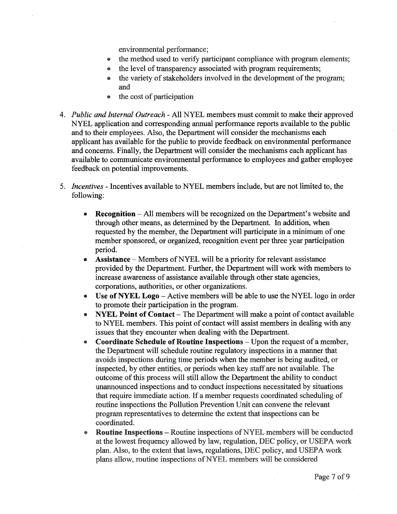environmental performance;

- the method used to verify participant compliance with program elements;
- the level of transparency associated with program requirements;
- the variety of stakeholders involved in the development of the program; and
- the cost of participation
- 4. *Public and Internal Outreach*  All NYEL members must commit to make their approved NYEL application and corresponding annual performance reports available to the public and to their employees. Also, the Department will consider the mechanisms each applicant has available for the public to provide feedback on environmental performance and concerns. Finally, the Department will consider the mechanisms each applicant has available to communicate environmental performance to employees and gather employee feedback on potential improvements.
- 5. *Incentives*  Incentives available to NYEL members include, but are not limited to, the following:
	- **Recognition** All members will be recognized on the Department's website and through other means, as determined by the Department. In addition, when requested by the member, the Department will participate in a minimum of one member sponsored, or organized, recognition event per three year participation period.
	- Assistance Members of NYEL will be a priority for relevant assistance provided by the Department. Further, the Department will work with members to increase awareness of assistance available through other state agencies, corporations, authorities, or other organizations.
	- Use of NYEL Logo Active members will be able to use the NYEL logo in order to promote their participation in the program.
	- NYEL Point of Contact The Department will make a point of contact available to NYEL members. This point of contact will assist members in dealing with any issues that they encounter when dealing with the Department.
	- Coordinate Schedule of Routine Inspections Upon the request of a member, the Department will schedule routine regulatory inspections in a manner that avoids inspections during time periods when the member is being audited, or inspected, by other entities, or periods when key staff are not available. The outcome of this process will still allow the Department the ability to conduct unannounced inspections and to conduct inspections necessitated by situations that require immediate action. If a member requests coordinated scheduling of routine inspections the Pollution Prevention Unit can convene the relevant program representatives to determine the extent that inspections can be coordinated.
	- **Routine Inspections Routine inspections of NYEL members will be conducted** at the lowest frequency allowed by law, regulation, DEC policy, or USEPA work plan. Also, to the extent that laws, regulations, DEC policy, and USEPA work plans allow, routine inspections of NYEL members will be considered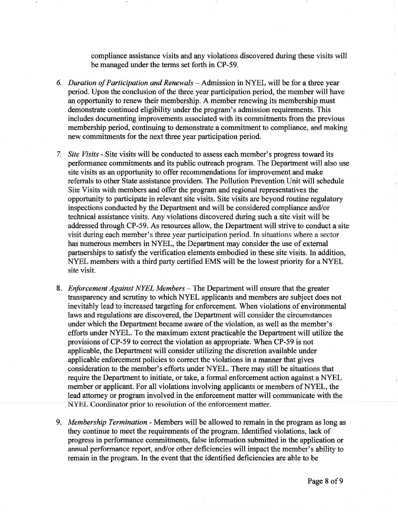compliance assistance visits and any violations discovered during these visits will be managed under the terms set forth in CP-59.

- *6. Duration of Participation and Renewals-Admission* in NYEL will be for a three year period. Upon the conclusion of the three year participation period, the member will have an opportunity to renew their membership. A member renewing its membership must demonstrate continued eligibility under the program's admission requirements. This includes documenting improvements associated with its commitments from the previous membership period, continuing to demonstrate a commitment to compliance, and making new commitments for the next three year participation period.
- 7. *Site Visits*  Site visits will be conducted to assess each member's progress toward its performance commitments and its public outreach program. The Department will also use site visits as an opportunity to offer recommendations for improvement and make referrals to other State assistance providers. The Pollution Prevention Unit will schedule Site Visits with members and offer the program and regionai representatives the opportunity to participate in relevant site visits. Site visits are beyond routine regulatory inspections conducted by the Department and will be considered compliance and/or technical assistance visits. Any violations discovered during such a site visit will be addressed through CP-59. As resources allow, the Department will strive to conduct a site visit during each member's three year participation period. In situations where a sector has numerous members in NYEL, the Department may consider the use of external partnerships to satisfy the verification elements embodied in these site visits. In addition, NYEL members with a third party certified EMS will be the lowest priority for a NYEL site visit
- 8. *Enforcement Against NYEL Members-The* Department will ensure that the greater transparency and scrutiny to which NYEL applicants and members are subject does not inevitably lead to increased targeting for enforcement. Wben violations of environmental laws and regulations are discovered, the Department will consider the circumstances under which the Department became aware of the violation, as well as the member's efforts under NYEL. To the maximum extent practicable the Department will utilize the provisions of CP-59 to correct the violation as appropriate. When CP-59 is not applicable, the Department will consider utilizing the discretion available under applicable enforcement policies to correct the violations in a manner that gives consideration to the member's efforts under NYEL. There may still be situations that require the Department to initiate, or take, a formal enforcement action against a NYEL member or applicant. For all violations involving applicants or members of NYEL, the lead attorney or program involved in the enforcement matter will communicate with the NYEL Coordinator prior to resolution of the enforcement matter.
- 9. *Membership Termination*  Members will be allowed to remain in the program as long as they continue to meet the requirements of the program. Identified violations, lack of progress in performance commitments, false information submitted in the application or annual performance report, and/or other deficiencies will impact the member's ability to remain in the program. In the event that the identified deficiencies are able to be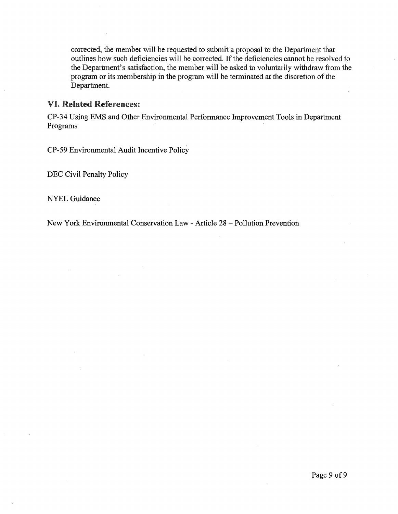corrected, the member will be requested to submit a proposal to the Department that outlines how such deficiencies will be corrected. If the deficiencies cannot be resolved to the Department's satisfaction, the member will be asked to voluntarily withdraw from the program or its membership in the program will be terminated at the discretion of the Department.

### VI. Related References:

CP-34 Using EMS and Other Environmental Performance Improvement Tools in Department Programs

CP-59 Environmental Audit Incentive Policy

DEC Civil Penalty Policy

NYEL Guidance

New York Environmental Conservation Law - Article 28 - Pollution Prevention